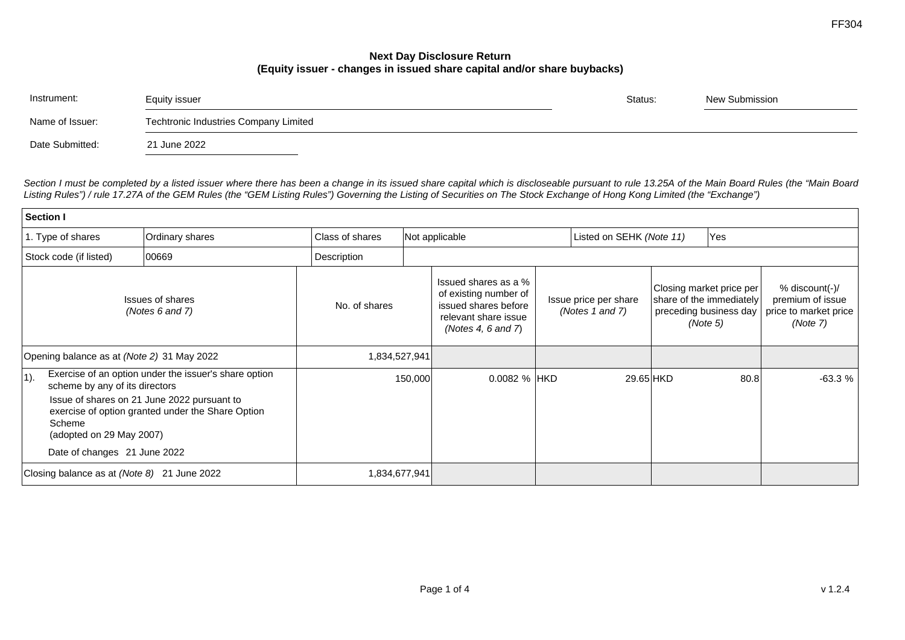## **Next Day Disclosure Return (Equity issuer - changes in issued share capital and/or share buybacks)**

| Instrument:     | Equity issuer                         | Status: | New Submission |  |
|-----------------|---------------------------------------|---------|----------------|--|
| Name of Issuer: | Techtronic Industries Company Limited |         |                |  |
| Date Submitted: | 21 June 2022                          |         |                |  |

*Section I must be completed by a listed issuer where there has been a change in its issued share capital which is discloseable pursuant to rule 13.25A of the Main Board Rules (the "Main Board Listing Rules") / rule 17.27A of the GEM Rules (the "GEM Listing Rules") Governing the Listing of Securities on The Stock Exchange of Hong Kong Limited (the "Exchange")*

| Section I                                                                                                       |                                                                                                                                                           |                 |         |                                                                                                                     |                                          |           |                                                                                            |      |                                                                         |  |  |  |
|-----------------------------------------------------------------------------------------------------------------|-----------------------------------------------------------------------------------------------------------------------------------------------------------|-----------------|---------|---------------------------------------------------------------------------------------------------------------------|------------------------------------------|-----------|--------------------------------------------------------------------------------------------|------|-------------------------------------------------------------------------|--|--|--|
| 1. Type of shares                                                                                               | Ordinary shares                                                                                                                                           | Class of shares |         | Not applicable                                                                                                      |                                          |           | Yes<br>Listed on SEHK (Note 11)                                                            |      |                                                                         |  |  |  |
| Stock code (if listed)                                                                                          | 00669                                                                                                                                                     | Description     |         |                                                                                                                     |                                          |           |                                                                                            |      |                                                                         |  |  |  |
| <b>Issues of shares</b><br>(Notes 6 and 7)                                                                      |                                                                                                                                                           | No. of shares   |         | Issued shares as a %<br>of existing number of<br>issued shares before<br>relevant share issue<br>(Notes 4, 6 and 7) | Issue price per share<br>(Notes 1 and 7) |           | Closing market price per<br>share of the immediately<br>preceding business day<br>(Note 5) |      | % discount(-)/<br>premium of issue<br>price to market price<br>(Note 7) |  |  |  |
| Opening balance as at (Note 2) 31 May 2022                                                                      |                                                                                                                                                           | 1,834,527,941   |         |                                                                                                                     |                                          |           |                                                                                            |      |                                                                         |  |  |  |
| $ 1$ ).<br>scheme by any of its directors<br>Scheme<br>(adopted on 29 May 2007)<br>Date of changes 21 June 2022 | Exercise of an option under the issuer's share option<br>Issue of shares on 21 June 2022 pursuant to<br>exercise of option granted under the Share Option |                 | 150,000 | 0.0082 % HKD                                                                                                        |                                          | 29.65 HKD |                                                                                            | 80.8 | $-63.3%$                                                                |  |  |  |
| Closing balance as at (Note 8) 21 June 2022                                                                     |                                                                                                                                                           | 1,834,677,941   |         |                                                                                                                     |                                          |           |                                                                                            |      |                                                                         |  |  |  |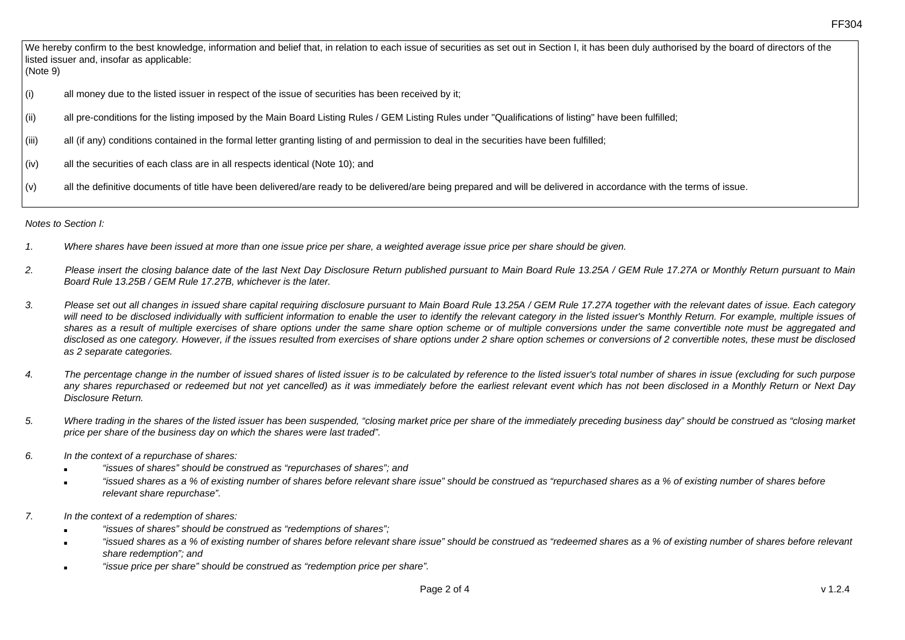We hereby confirm to the best knowledge, information and belief that, in relation to each issue of securities as set out in Section I, it has been duly authorised by the board of directors of the listed issuer and, insofar as applicable:

(Note 9)

- (i) all money due to the listed issuer in respect of the issue of securities has been received by it;
- (ii) all pre-conditions for the listing imposed by the Main Board Listing Rules / GEM Listing Rules under "Qualifications of listing" have been fulfilled;
- (iii) all (if any) conditions contained in the formal letter granting listing of and permission to deal in the securities have been fulfilled;
- (iv) all the securities of each class are in all respects identical (Note 10); and
- (v) all the definitive documents of title have been delivered/are ready to be delivered/are being prepared and will be delivered in accordance with the terms of issue.

*Notes to Section I:* 

- *1. Where shares have been issued at more than one issue price per share, a weighted average issue price per share should be given.*
- *2. Please insert the closing balance date of the last Next Day Disclosure Return published pursuant to Main Board Rule 13.25A / GEM Rule 17.27A or Monthly Return pursuant to Main Board Rule 13.25B / GEM Rule 17.27B, whichever is the later.*
- *3. Please set out all changes in issued share capital requiring disclosure pursuant to Main Board Rule 13.25A / GEM Rule 17.27A together with the relevant dates of issue. Each category*  will need to be disclosed individually with sufficient information to enable the user to identify the relevant category in the listed issuer's Monthly Return. For example, multiple issues of *shares as a result of multiple exercises of share options under the same share option scheme or of multiple conversions under the same convertible note must be aggregated and disclosed as one category. However, if the issues resulted from exercises of share options under 2 share option schemes or conversions of 2 convertible notes, these must be disclosed as 2 separate categories.*
- *4. The percentage change in the number of issued shares of listed issuer is to be calculated by reference to the listed issuer's total number of shares in issue (excluding for such purpose any shares repurchased or redeemed but not yet cancelled) as it was immediately before the earliest relevant event which has not been disclosed in a Monthly Return or Next Day Disclosure Return.*
- *5. Where trading in the shares of the listed issuer has been suspended, "closing market price per share of the immediately preceding business day" should be construed as "closing market price per share of the business day on which the shares were last traded".*
- *6. In the context of a repurchase of shares:* 
	- *"issues of shares" should be construed as "repurchases of shares"; and*
	- "issued shares as a % of existing number of shares before relevant share issue" should be construed as "repurchased shares as a % of existing number of shares before *relevant share repurchase".*
- *7. In the context of a redemption of shares:* 
	- *"issues of shares" should be construed as "redemptions of shares";*
	- *"issued shares as a % of existing number of shares before relevant share issue" should be construed as "redeemed shares as a % of existing number of shares before relevant share redemption"; and*
	- "issue price per share" should be construed as "redemption price per share".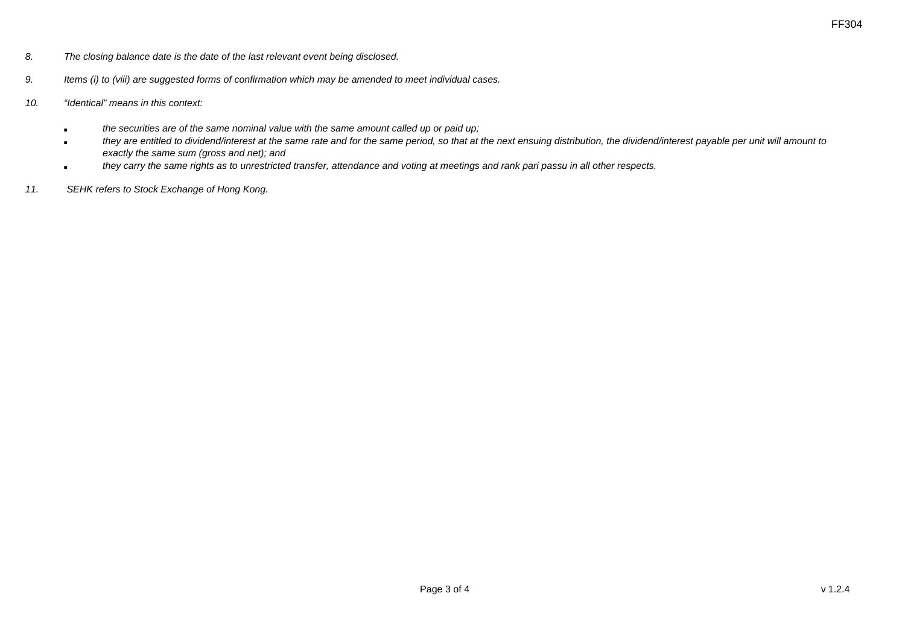- *8. The closing balance date is the date of the last relevant event being disclosed.*
- *9. Items (i) to (viii) are suggested forms of confirmation which may be amended to meet individual cases.*
- *10. "Identical" means in this context:* 
	- *the securities are of the same nominal value with the same amount called up or paid up;*
	- **they are entitled to dividend/interest at the same rate and for the same period, so that at the next ensuing distribution, the dividend/interest payable per unit will amount to** *exactly the same sum (gross and net); and*
	- *they carry the same rights as to unrestricted transfer, attendance and voting at meetings and rank pari passu in all other respects.*
- *11. SEHK refers to Stock Exchange of Hong Kong.*